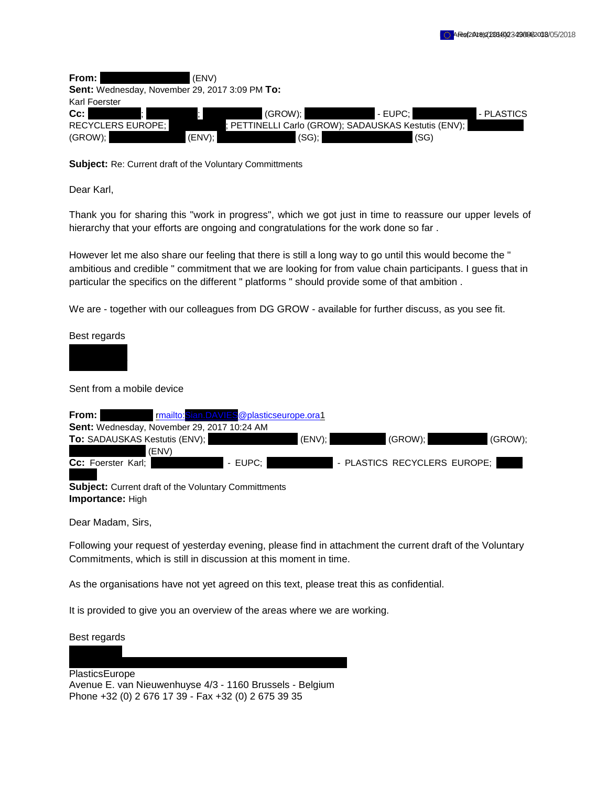| From:                                          | (ENV)     |                                                    |              |
|------------------------------------------------|-----------|----------------------------------------------------|--------------|
| Sent: Wednesday, November 29, 2017 3:09 PM To: |           |                                                    |              |
| Karl Foerster                                  |           |                                                    |              |
| Cc:                                            | (GROW):   | I - EUPC: I                                        | I - PLASTICS |
| <b>RECYCLERS EUROPE:</b>                       |           | PETTINELLI Carlo (GROW); SADAUSKAS Kestutis (ENV); |              |
| (GROW);                                        | $(ENV)$ : | (SG);<br>(SG)                                      |              |

**Subject:** Re: Current draft of the Voluntary Committments

Dear Karl,

Thank you for sharing this "work in progress", which we got just in time to reassure our upper levels of hierarchy that your efforts are ongoing and congratulations for the work done so far .

However let me also share our feeling that there is still a long way to go until this would become the " ambitious and credible " commitment that we are looking for from value chain participants. I guess that in particular the specifics on the different " platforms " should provide some of that ambition .

We are - together with our colleagues from DG GROW - available for further discuss, as you see fit.

Best regards

Sent from a mobile device

| From: I                                                                         |       | rmailto: Sian.DAVIES @plasticseurope.ora1 |           |                              |         |
|---------------------------------------------------------------------------------|-------|-------------------------------------------|-----------|------------------------------|---------|
| Sent: Wednesday, November 29, 2017 10:24 AM                                     |       |                                           |           |                              |         |
| To: SADAUSKAS Kestutis (ENV);                                                   |       |                                           | $(ENV)$ ; | (GROW);                      | (GROW); |
|                                                                                 | (ENV) |                                           |           |                              |         |
| Cc: Foerster Karl;                                                              |       | - EUPC:                                   |           | - PLASTICS RECYCLERS EUROPE; |         |
| <b>Subject:</b> Current draft of the Voluntary Committments<br>Importance: High |       |                                           |           |                              |         |

Dear Madam, Sirs,

Following your request of yesterday evening, please find in attachment the current draft of the Voluntary Commitments, which is still in discussion at this moment in time.

As the organisations have not yet agreed on this text, please treat this as confidential.

It is provided to give you an overview of the areas where we are working.

Best regards

PlasticsEurope Avenue E. van Nieuwenhuyse 4/3 - 1160 Brussels - Belgium Phone +32 (0) 2 676 17 39 - Fax +32 (0) 2 675 39 35